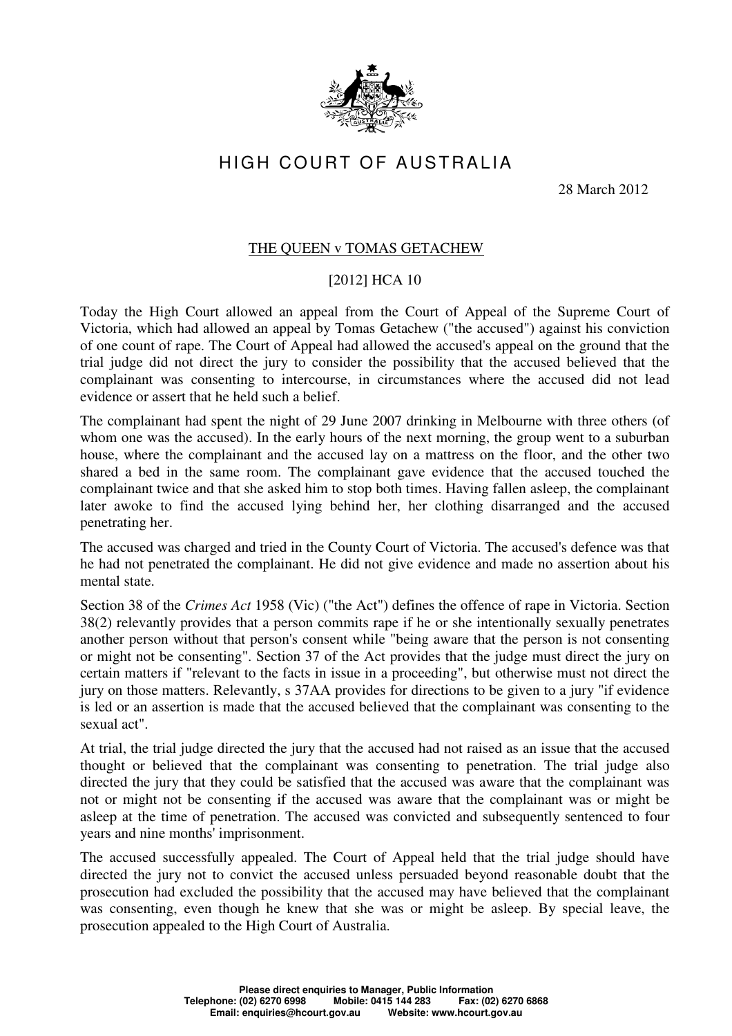

## HIGH COURT OF AUSTRALIA

28 March 2012

## THE QUEEN v TOMAS GETACHEW

## [2012] HCA 10

Today the High Court allowed an appeal from the Court of Appeal of the Supreme Court of Victoria, which had allowed an appeal by Tomas Getachew ("the accused") against his conviction of one count of rape. The Court of Appeal had allowed the accused's appeal on the ground that the trial judge did not direct the jury to consider the possibility that the accused believed that the complainant was consenting to intercourse, in circumstances where the accused did not lead evidence or assert that he held such a belief.

The complainant had spent the night of 29 June 2007 drinking in Melbourne with three others (of whom one was the accused). In the early hours of the next morning, the group went to a suburban house, where the complainant and the accused lay on a mattress on the floor, and the other two shared a bed in the same room. The complainant gave evidence that the accused touched the complainant twice and that she asked him to stop both times. Having fallen asleep, the complainant later awoke to find the accused lying behind her, her clothing disarranged and the accused penetrating her.

The accused was charged and tried in the County Court of Victoria. The accused's defence was that he had not penetrated the complainant. He did not give evidence and made no assertion about his mental state.

Section 38 of the *Crimes Act* 1958 (Vic) ("the Act") defines the offence of rape in Victoria. Section 38(2) relevantly provides that a person commits rape if he or she intentionally sexually penetrates another person without that person's consent while "being aware that the person is not consenting or might not be consenting". Section 37 of the Act provides that the judge must direct the jury on certain matters if "relevant to the facts in issue in a proceeding", but otherwise must not direct the jury on those matters. Relevantly, s 37AA provides for directions to be given to a jury "if evidence is led or an assertion is made that the accused believed that the complainant was consenting to the sexual act".

At trial, the trial judge directed the jury that the accused had not raised as an issue that the accused thought or believed that the complainant was consenting to penetration. The trial judge also directed the jury that they could be satisfied that the accused was aware that the complainant was not or might not be consenting if the accused was aware that the complainant was or might be asleep at the time of penetration. The accused was convicted and subsequently sentenced to four years and nine months' imprisonment.

The accused successfully appealed. The Court of Appeal held that the trial judge should have directed the jury not to convict the accused unless persuaded beyond reasonable doubt that the prosecution had excluded the possibility that the accused may have believed that the complainant was consenting, even though he knew that she was or might be asleep. By special leave, the prosecution appealed to the High Court of Australia.